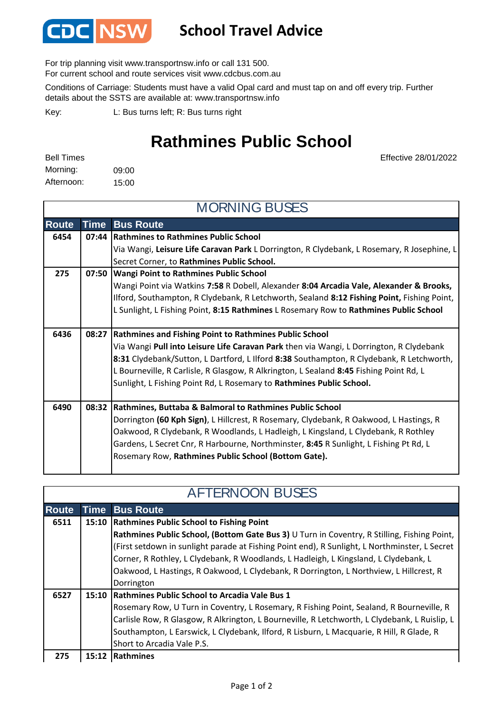

## **School Travel Advice**

For trip planning visit www.transportnsw.info or call 131 500.

For current school and route services visit www.cdcbus.com.au

Conditions of Carriage: Students must have a valid Opal card and must tap on and off every trip. Further details about the SSTS are available at: www.transportnsw.info

L: Bus turns left; R: Bus turns right Key:

## **Rathmines Public School**

Effective 28/01/2022

09:00 15:00 Afternoon: Morning: Bell Times

**Route Time Bus Route Rathmines to Rathmines Public School** Via Wangi, **Leisure Life Caravan Park** L Dorrington, R Clydebank, L Rosemary, R Josephine, L Secret Corner, to **Rathmines Public School. Wangi Point to Rathmines Public School** Wangi Point via Watkins **7:58** R Dobell, Alexander **8:04 Arcadia Vale, Alexander & Brooks,**  Ilford, Southampton, R Clydebank, R Letchworth, Sealand **8:12 Fishing Point,** Fishing Point, L Sunlight, L Fishing Point, **8:15 Rathmines** L Rosemary Row to **Rathmines Public School Rathmines and Fishing Point to Rathmines Public School 6436 08:27** Via Wangi **Pull into Leisure Life Caravan Park** then via Wangi, L Dorrington, R Clydebank **8:31** Clydebank/Sutton, L Dartford, L Ilford **8:38** Southampton, R Clydebank, R Letchworth, L Bourneville, R Carlisle, R Glasgow, R Alkrington, L Sealand **8:45** Fishing Point Rd, L Sunlight, L Fishing Point Rd, L Rosemary to **Rathmines Public School. Rathmines, Buttaba & Balmoral to Rathmines Public School 6490 08:32** Dorrington **(60 Kph Sign)**, L Hillcrest, R Rosemary, Clydebank, R Oakwood, L Hastings, R Oakwood, R Clydebank, R Woodlands, L Hadleigh, L Kingsland, L Clydebank, R Rothley Gardens, L Secret Cnr, R Harbourne, Northminster, **8:45** R Sunlight, L Fishing Pt Rd, L Rosemary Row, **Rathmines Public School (Bottom Gate).** MORNING BUSES **6454 07:44 275 07:50**

| <b>AFTERNOON BUSES</b> |  |                                                                                               |  |
|------------------------|--|-----------------------------------------------------------------------------------------------|--|
| <b>Route</b>           |  | <b>Time Bus Route</b>                                                                         |  |
| 6511                   |  | 15:10 Rathmines Public School to Fishing Point                                                |  |
|                        |  | Rathmines Public School, (Bottom Gate Bus 3) U Turn in Coventry, R Stilling, Fishing Point,   |  |
|                        |  | (First setdown in sunlight parade at Fishing Point end), R Sunlight, L Northminster, L Secret |  |
|                        |  | Corner, R Rothley, L Clydebank, R Woodlands, L Hadleigh, L Kingsland, L Clydebank, L          |  |
|                        |  | Oakwood, L Hastings, R Oakwood, L Clydebank, R Dorrington, L Northview, L Hillcrest, R        |  |
|                        |  | Dorrington                                                                                    |  |
| 6527                   |  | 15:10 Rathmines Public School to Arcadia Vale Bus 1                                           |  |
|                        |  | Rosemary Row, U Turn in Coventry, L Rosemary, R Fishing Point, Sealand, R Bourneville, R      |  |
|                        |  | Carlisle Row, R Glasgow, R Alkrington, L Bourneville, R Letchworth, L Clydebank, L Ruislip, L |  |
|                        |  | Southampton, L Earswick, L Clydebank, Ilford, R Lisburn, L Macquarie, R Hill, R Glade, R      |  |
|                        |  | Short to Arcadia Vale P.S.                                                                    |  |
| 275                    |  | 15:12 Rathmines                                                                               |  |